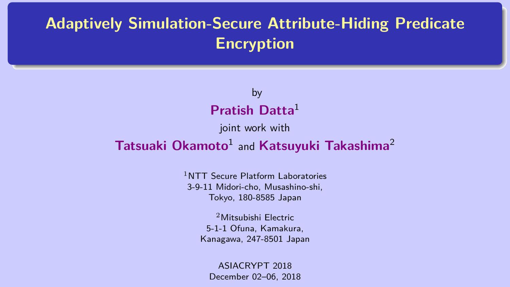## <span id="page-0-0"></span>**Adaptively Simulation-Secure Attribute-Hiding Predicate Encryption**

#### by **Pratish Datta**<sup>1</sup>

joint work with

#### **Tatsuaki Okamoto**<sup>1</sup> and **Katsuyuki Takashima**<sup>2</sup>

<sup>1</sup>NTT Secure Platform Laboratories 3-9-11 Midori-cho, Musashino-shi, Tokyo, 180-8585 Japan

> <sup>2</sup>Mitsubishi Electric 5-1-1 Ofuna, Kamakura, Kanagawa, 247-8501 Japan

ASIACRYPT 2018 December 02–06, 2018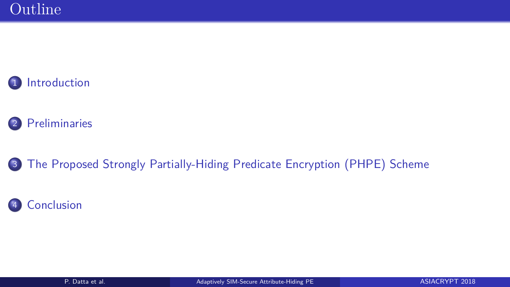





[The Proposed Strongly Partially-Hiding Predicate Encryption \(PHPE\) Scheme](#page-23-0)

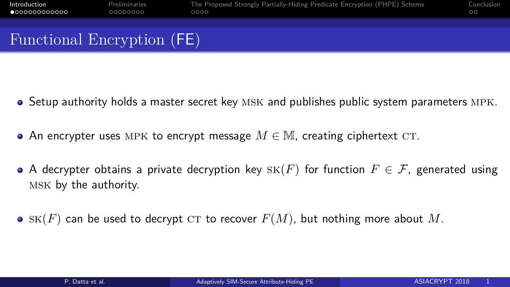<span id="page-2-0"></span>

| Introduction               | Preliminaries | The Proposed Strongly Partially-Hiding Predicate Encryption (PHPE) Scheme | Conclusion |
|----------------------------|---------------|---------------------------------------------------------------------------|------------|
| $\bullet$ 000000000000     | 00000000      | 0000                                                                      | $\circ$    |
| Functional Encryption (FE) |               |                                                                           |            |

- Setup authority holds a master secret key MSK and publishes public system parameters MPK.
- An encrypter uses MPK to encrypt message  $M \in \mathbb{M}$ , creating ciphertext CT.
- A decrypter obtains a private decryption key  $SK(F)$  for function  $F \in \mathcal{F}$ , generated using msk by the authority.
- $\bullet$  SK(*F*) can be used to decrypt CT to recover  $F(M)$ , but nothing more about M.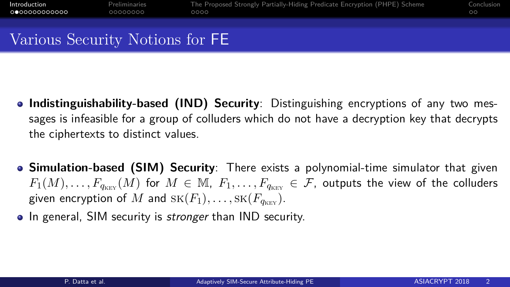#### Various Security Notions for FE

- **Indistinguishability-based (IND) Security**: Distinguishing encryptions of any two messages is infeasible for a group of colluders which do not have a decryption key that decrypts the ciphertexts to distinct values.
- **Simulation-based (SIM) Security**: There exists a polynomial-time simulator that given  $F_1(M), \ldots, F_{q_{Kt}|}(M)$  for  $M \in \mathbb{M}$ ,  $F_1, \ldots, F_{q_{Knt}} \in \mathcal{F}$ , outputs the view of the colluders given encryption of M and  $SK(F_1), \ldots, SK(F_{q_{\text{new}}}).$
- In general, SIM security is *stronger* than IND security.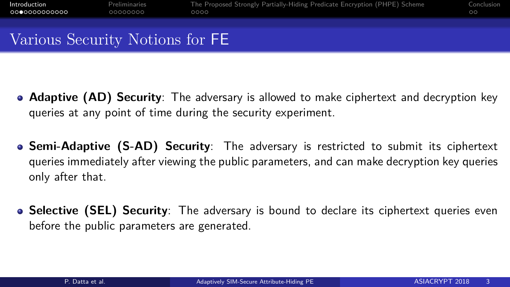### Various Security Notions for FE

- **Adaptive (AD) Security**: The adversary is allowed to make ciphertext and decryption key queries at any point of time during the security experiment.
- **Semi-Adaptive (S-AD) Security**: The adversary is restricted to submit its ciphertext queries immediately after viewing the public parameters, and can make decryption key queries only after that.
- **Selective (SEL) Security**: The adversary is bound to declare its ciphertext queries even before the public parameters are generated.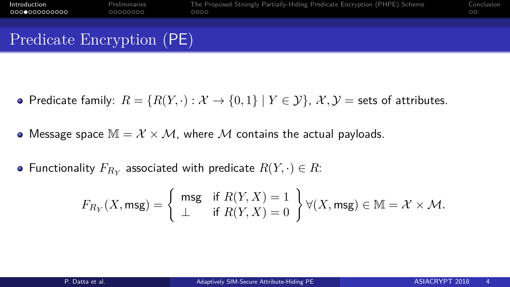| Introduction              | Preliminaries | The Proposed Strongly Partially-Hiding Predicate Encryption (PHPE) Scheme | Conclusion |
|---------------------------|---------------|---------------------------------------------------------------------------|------------|
| 000000000000              | 00000000      | 0000                                                                      | $\circ$    |
| Predicate Encryption (PE) |               |                                                                           |            |

- Predicate family:  $R = \{R(Y, \cdot) : \mathcal{X} \to \{0, 1\} \mid Y \in \mathcal{Y}\}\)$ ,  $\mathcal{X}, \mathcal{Y} =$  sets of attributes.
- Message space  $M = \mathcal{X} \times \mathcal{M}$ , where M contains the actual payloads.
- Functionality  $F_{R_Y}$  associated with predicate  $R(Y, \cdot) \in R$ :

$$
F_{R_Y}(X, \mathsf{msg}) = \left\{\begin{array}{ll} \mathsf{msg} & \text{if } R(Y, X) = 1 \\ \bot & \text{if } R(Y, X) = 0 \end{array}\right\} \forall (X, \mathsf{msg}) \in \mathbb{M} = \mathcal{X} \times \mathcal{M}.
$$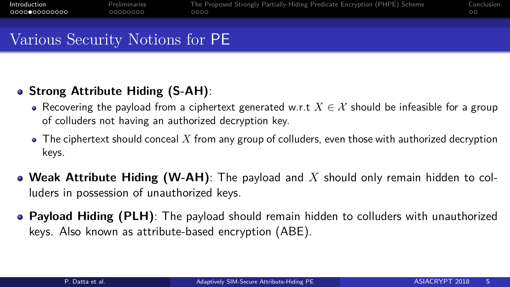### Various Security Notions for PE

#### **Strong Attribute Hiding (S-AH)**:

- Recovering the payload from a ciphertext generated w.r.t  $X \in \mathcal{X}$  should be infeasible for a group of colluders not having an authorized decryption key.
- $\bullet$  The ciphertext should conceal  $X$  from any group of colluders, even those with authorized decryption keys.
- **Weak Attribute Hiding (W-AH)**: The payload and *X* should only remain hidden to colluders in possession of unauthorized keys.
- **Payload Hiding (PLH)**: The payload should remain hidden to colluders with unauthorized keys. Also known as attribute-based encryption (ABE).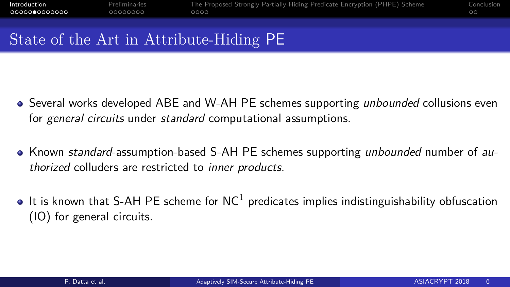#### State of the Art in Attribute-Hiding PE

- Several works developed ABE and W-AH PE schemes supporting *unbounded* collusions even for general circuits under standard computational assumptions.
- Known standard-assumption-based S-AH PE schemes supporting *unbounded* number of authorized colluders are restricted to inner products.
- It is known that S-AH PE scheme for  $NC^1$  predicates implies indistinguishability obfuscation (IO) for general circuits.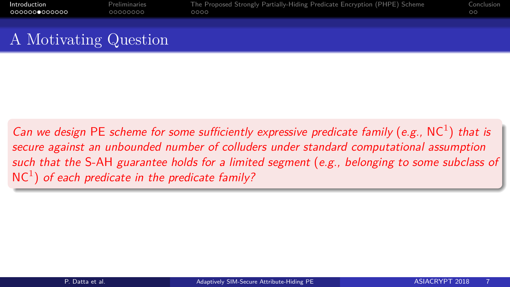| Introduction          | Preliminaries | The Proposed Strongly Partially-Hiding Predicate Encryption (PHPE) Scheme | Conclusion |
|-----------------------|---------------|---------------------------------------------------------------------------|------------|
| 0000000000000         | 00000000      | 0000                                                                      | ററ         |
| A Motivating Question |               |                                                                           |            |

Can we design PE scheme for some sufficiently expressive predicate family (e.g.,  $NC<sup>1</sup>$ ) that is secure against an unbounded number of colluders under standard computational assumption such that the S-AH guarantee holds for a limited segment (e.g., belonging to some subclass of  $NC<sup>1</sup>$ ) of each predicate in the predicate family?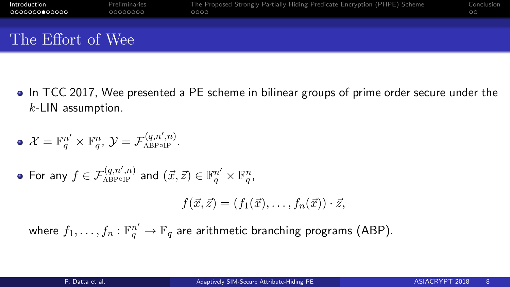| Introduction<br>0000000000000 | Preliminaries<br>00000000 | The Proposed Strongly Partially-Hiding Predicate Encryption (PHPE) Scheme<br>0000 | Conclusion<br>$\circ$ |
|-------------------------------|---------------------------|-----------------------------------------------------------------------------------|-----------------------|
|                               |                           |                                                                                   |                       |
| The Effort of Wee             |                           |                                                                                   |                       |

• In TCC 2017, Wee presented a PE scheme in bilinear groups of prime order secure under the *k*-LIN assumption.

$$
\bullet \ \mathcal{X}=\mathbb{F}_q^{n'}\times \mathbb{F}_q^n, \, \mathcal{Y}=\mathcal{F}^{(q,n',n)}_{\text{ABPOIP}}.
$$

$$
\quad \bullet \text{ For any } f \in \mathcal{F}^{(q,n',n)}_{\text{ABPop}} \text{ and } (\vec{x},\vec{z}) \in \mathbb{F}_q^{n'} \times \mathbb{F}_q^n,
$$

$$
f(\vec{x},\vec{z}) = (f_1(\vec{x}),\ldots,f_n(\vec{x})) \cdot \vec{z},
$$

where  $f_1,\ldots,f_n:\mathbb{F}_q^{n'} \to \mathbb{F}_q$  are arithmetic branching programs (ABP).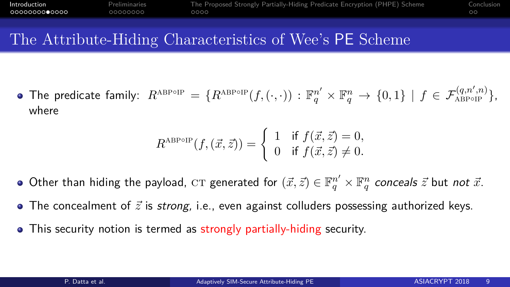#### The Attribute-Hiding Characteristics of Wee's PE Scheme

 $\text{The predicate family: } R^{\text{ABPoIP}} = \{ R^{\text{ABPoIP}}(f, (\cdot, \cdot)) : \mathbb{F}_q^{n'} \times \mathbb{F}_q^n \rightarrow \{0, 1\} \mid f \in \mathcal{F}^{(q, n', n)}_{\text{ABPoIP}} \},$ where

$$
R^{\text{ABPOIP}}(f,(\vec{x},\vec{z})) = \begin{cases} 1 & \text{if } f(\vec{x},\vec{z}) = 0, \\ 0 & \text{if } f(\vec{x},\vec{z}) \neq 0. \end{cases}
$$

- Other than hiding the payload,  $\mathrm{CT}$  generated for  $(\vec{x},\vec{z})\in \mathbb{F}_q^{n'}\times \mathbb{F}_q^n$  *conceals*  $\vec{z}$  but *not*  $\vec{x}.$
- $\bullet$  The concealment of  $\vec{z}$  is *strong*, i.e., even against colluders possessing authorized keys.
- This security notion is termed as strongly partially-hiding security.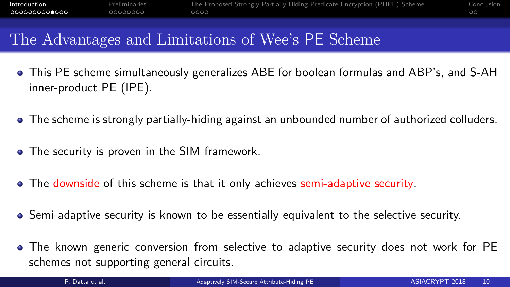#### The Advantages and Limitations of Wee's PE Scheme

- This PE scheme simultaneously generalizes ABE for boolean formulas and ABP's, and S-AH inner-product PE (IPE).
- The scheme is strongly partially-hiding against an unbounded number of authorized colluders.
- The security is proven in the SIM framework.
- The downside of this scheme is that it only achieves semi-adaptive security.
- Semi-adaptive security is known to be essentially equivalent to the selective security.
- The known generic conversion from selective to adaptive security does not work for PE schemes not supporting general circuits.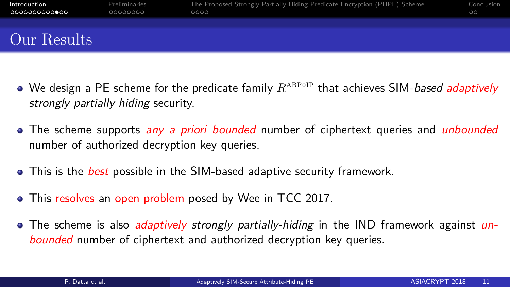| Introduction<br>○○○○○○○○○○●○○ | Preliminaries<br>00000000 | The Proposed Strongly Partially-Hiding Predicate Encryption (PHPE) Scheme<br>0000 | Conclusion<br>$\circ$ |
|-------------------------------|---------------------------|-----------------------------------------------------------------------------------|-----------------------|
|                               |                           |                                                                                   |                       |
|                               |                           |                                                                                   |                       |
| Our Results                   |                           |                                                                                   |                       |
|                               |                           |                                                                                   |                       |

- We design a PE scheme for the predicate family  $R^{\text{ABPOIP}}$  that achieves SIM-*based adaptively* strongly partially hiding security.
- The scheme supports *any a priori bounded* number of ciphertext queries and *unbounded* number of authorized decryption key queries.
- **•** This is the *best* possible in the SIM-based adaptive security framework.
- This resolves an open problem posed by Wee in TCC 2017.
- The scheme is also *adaptively strongly partially-hiding* in the IND framework against *un*bounded number of ciphertext and authorized decryption key queries.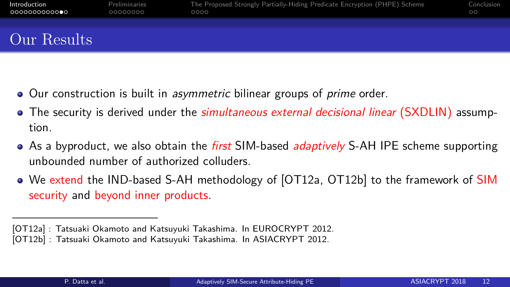| Introduction<br>0000000000000 | Preliminaries<br>00000000 | The Proposed Strongly Partially-Hiding Predicate Encryption (PHPE) Scheme<br>0000 | Conclusion<br>$\circ$ |
|-------------------------------|---------------------------|-----------------------------------------------------------------------------------|-----------------------|
|                               |                           |                                                                                   |                       |
| Our Results                   |                           |                                                                                   |                       |

- Our construction is built in *asymmetric* bilinear groups of *prime* order.
- The security is derived under the *simultaneous external decisional linear* (SXDLIN) assumption.
- As a byproduct, we also obtain the *first* SIM-based *adaptively* S-AH IPE scheme supporting unbounded number of authorized colluders.
- We extend the IND-based S-AH methodology of [OT12a, OT12b] to the framework of SIM security and beyond inner products.

<sup>[</sup>OT12a] : Tatsuaki Okamoto and Katsuyuki Takashima. In EUROCRYPT 2012.

<sup>[</sup>OT12b] : Tatsuaki Okamoto and Katsuyuki Takashima. In ASIACRYPT 2012.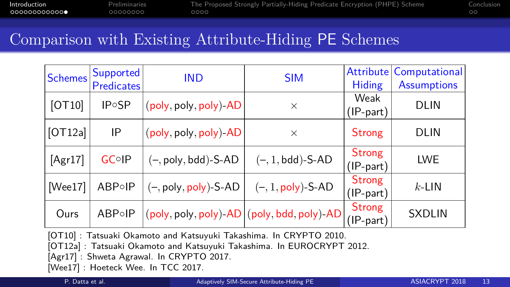[Introduction](#page-2-0) [Preliminaries](#page-15-0) [The Proposed Strongly Partially-Hiding Predicate Encryption \(PHPE\) Scheme](#page-23-0) [Conclusion](#page-27-0)

#### Comparison with Existing Attribute-Hiding PE Schemes

| <b>Schemes</b> | Supported                 | <b>IND</b>                                        | <b>SIM</b>                  | <b>Attribute</b> | Computational      |  |
|----------------|---------------------------|---------------------------------------------------|-----------------------------|------------------|--------------------|--|
|                | <b>Predicates</b>         |                                                   |                             | <b>Hiding</b>    | <b>Assumptions</b> |  |
| [OT10]         | <b>IP</b> <sup>o</sup> SP |                                                   |                             | Weak             |                    |  |
|                |                           | (poly, poly, poly)-AD                             | $\times$                    | (IP-part)        | <b>DLIN</b>        |  |
| [OT12a]        | IP                        | (poly, poly, poly)-AD                             | $\times$                    | <b>Strong</b>    | <b>DLIN</b>        |  |
| [Agr17]        | <b>GCoIP</b>              | $(-, poly, bdd)$ -S-AD                            | $(-, 1, \text{bdd})$ -S-AD  | <b>Strong</b>    | <b>LWE</b>         |  |
|                |                           |                                                   |                             | (IP-part)        |                    |  |
| [Wee17]        | <b>ABP</b> oIP            | (–, poly, poly)-S-AD                              | $(-, 1, \text{poly})$ -S-AD | Strong           | $k$ -LIN           |  |
|                |                           |                                                   |                             | (IP-part)        |                    |  |
| Ours           | $ABP \circ IP$            | $(poly, poly, poly)$ -AD $ (poly, bdd, poly)$ -AD |                             | <b>Strong</b>    | <b>SXDLIN</b>      |  |
|                |                           |                                                   |                             | (IP-part)        |                    |  |

[OT10] : Tatsuaki Okamoto and Katsuyuki Takashima. In CRYPTO 2010.

[OT12a] : Tatsuaki Okamoto and Katsuyuki Takashima. In EUROCRYPT 2012.

[Agr17] : Shweta Agrawal. In CRYPTO 2017.

[Wee17] : Hoeteck Wee. In TCC 2017.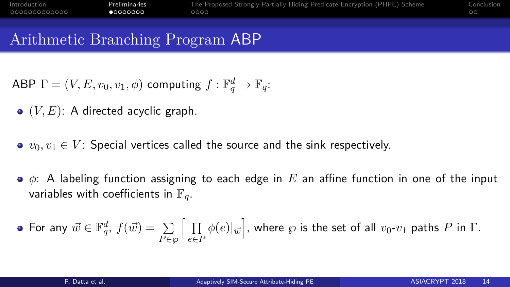<span id="page-15-0"></span>

| Introduction  | Preliminaries | The Proposed Strongly Partially-Hiding Predicate Encryption (PHPE) Scheme | Conclusion |
|---------------|---------------|---------------------------------------------------------------------------|------------|
| 0000000000000 | 00000000      | $0000 -$                                                                  |            |
|               |               |                                                                           |            |

#### Arithmetic Branching Program ABP

- $\mathsf{ABP}\;\Gamma=(V,E,v_0,v_1,\phi)$  computing  $f:\mathbb{F}_q^d\to\mathbb{F}_q$ :
- $\bullet$   $(V, E)$ : A directed acyclic graph.
- $\bullet$   $v_0, v_1 \in V$ : Special vertices called the source and the sink respectively.
- *φ*: A labeling function assigning to each edge in *E* an affine function in one of the input variables with coefficients in  $\mathbb{F}_q$ .

• For any 
$$
\vec{w} \in \mathbb{F}_q^d
$$
,  $f(\vec{w}) = \sum_{P \in \wp} \Big[ \prod_{e \in P} \phi(e) | \vec{w} \Big]$ , where  $\wp$  is the set of all  $v_0$ - $v_1$  paths  $P$  in  $\Gamma$ .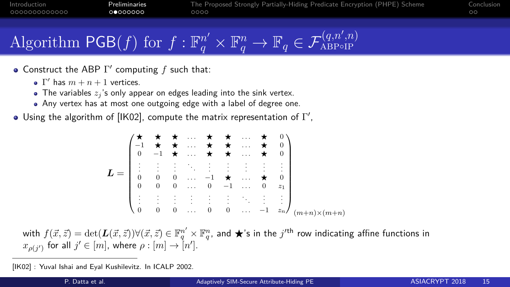# Algorithm  $\mathsf{PGB}(f)$  for  $f: \mathbb{F}_q^{n'} \times \mathbb{F}_q^n \to \mathbb{F}_q \in \mathcal{F}_{\text{ABPoIP}}^{(q,n',n)}$

- Construct the ABP  $\Gamma'$  computing  $f$  such that:
	- $Γ'$  has  $m + n + 1$  vertices.
	- $\bullet$  The variables  $z_i$ 's only appear on edges leading into the sink vertex.
	- Any vertex has at most one outgoing edge with a label of degree one.
- Using the algorithm of [IK02], compute the matrix representation of  $\Gamma',$

$$
L = \begin{pmatrix} \star & \star & \star & \cdots & \star & \star & \cdots & \star & 0 \\ -1 & \star & \star & \cdots & \star & \star & \cdots & \star & 0 \\ 0 & -1 & \star & \cdots & \star & \star & \cdots & \star & 0 \\ \vdots & \vdots & \vdots & \ddots & \vdots & \vdots & \vdots & \vdots & \vdots \\ 0 & 0 & 0 & \cdots & -1 & \star & \cdots & \star & 0 \\ 0 & 0 & 0 & \cdots & 0 & -1 & \cdots & 0 & z_1 \\ \vdots & \vdots & \vdots & \vdots & \vdots & \vdots & \ddots & \vdots & \vdots \\ 0 & 0 & 0 & \cdots & 0 & 0 & \cdots & -1 & z_n \end{pmatrix}_{(m+n)\times(m+n)}
$$

with  $f(\vec{x}, \vec{z}) = \det(\bm{L}(\vec{x}, \vec{z})) \forall (\vec{x}, \vec{z}) \in \mathbb{F}_q^{n'} \times \mathbb{F}_q^n$ , and  $\bigstar$ 's in the  $j'^{\text{th}}$  row indicating affine functions in  $x_{\rho(j')}$  for all  $j' \in [m]$ , where  $\rho : [m] \rightarrow [n']$ .

<sup>[</sup>IK02] : Yuval Ishai and Eyal Kushilevitz. In ICALP 2002.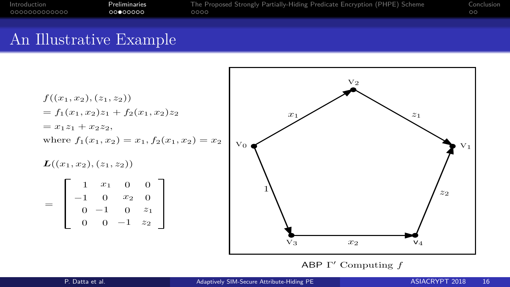| Introduction  | Preliminaries | The Proposed Strongly Partially-Hiding Predicate Encryption (PHPE) Scheme | Conclusion |
|---------------|---------------|---------------------------------------------------------------------------|------------|
| 0000000000000 | ററ⊜ററററ       | 0000                                                                      |            |
|               |               |                                                                           |            |

#### An Illustrative Example

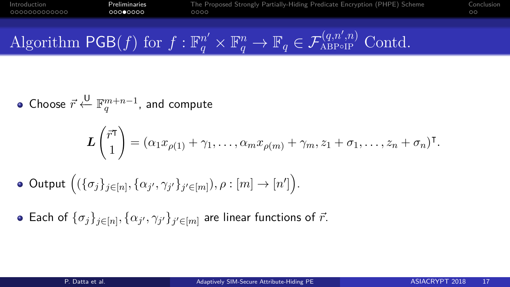[Introduction](#page-2-0) [Preliminaries](#page-15-0) [The Proposed Strongly Partially-Hiding Predicate Encryption \(PHPE\) Scheme](#page-23-0) [Conclusion](#page-27-0)

Algorithm 
$$
\mathsf{PGB}(f)
$$
 for  $f: \mathbb{F}_q^{n'} \times \mathbb{F}_q^n \to \mathbb{F}_q \in \mathcal{F}_{\text{ABPoIP}}^{(q,n',n)}$  Cond.

• Choose 
$$
\vec{r} \stackrel{\cup}{\leftarrow} \mathbb{F}_q^{m+n-1}
$$
, and compute

$$
\boldsymbol{L}\begin{pmatrix} \vec{r}^{\mathsf{T}} \\ 1 \end{pmatrix} = (\alpha_1 x_{\rho(1)} + \gamma_1, \ldots, \alpha_m x_{\rho(m)} + \gamma_m, z_1 + \sigma_1, \ldots, z_n + \sigma_n)^{\mathsf{T}}.
$$

• Output 
$$
((\{\sigma_j\}_{j\in[n]}, \{\alpha_{j'}, \gamma_{j'}\}_{j'\in[m]}), \rho : [m] \rightarrow [n']\big)
$$
.

Each of  $\{\sigma_j\}_{j\in[n]}, \{\alpha_{j'},\gamma_{j'}\}_{j'\in[m]}$  are linear functions of  $\vec{r}.$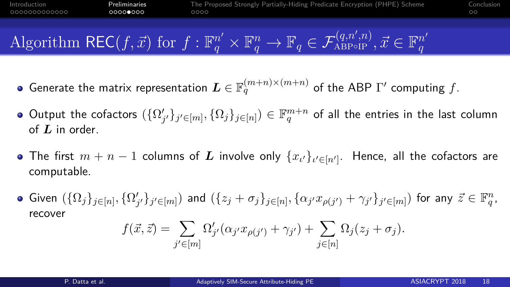[Introduction](#page-2-0) [Preliminaries](#page-15-0) [The Proposed Strongly Partially-Hiding Predicate Encryption \(PHPE\) Scheme](#page-23-0) [Conclusion](#page-27-0) 0000000000000 00000000

Algorithm REC
$$
(f, \vec{x})
$$
 for  $f : \mathbb{F}_q^{n'} \times \mathbb{F}_q^n \to \mathbb{F}_q \in \mathcal{F}_{\text{ABP}\circ\text{IP}}^{(q,n',n)}, \vec{x} \in \mathbb{F}_q^{n'}$ 

- Generate the matrix representation  $\bm{L} \in \mathbb{F}_q^{(m+n)\times (m+n)}$  of the ABP  $\Gamma'$  computing  $f.$
- ${\rm Output}$  the cofactors  $(\{\Omega'_{j'}\}_{j'\in[m]},\{\Omega_j\}_{j\in[n]})\in\mathbb{F}_q^{m+n}$  of all the entries in the last column of *L* in order.
- The first  $m+n-1$  columns of  $\boldsymbol{L}$  involve only  $\{x_{\iota'}\}_{\iota'\in[n']}$ . Hence, all the cofactors are computable.
- Given  $(\{\Omega_j\}_{j\in[n]},\{\Omega'_{j'}\}_{j'\in[m]})$  and  $(\{z_j+\sigma_j\}_{j\in[n]},\{\alpha_{j'}x_{\rho(j')}+\gamma_{j'}\}_{j'\in[m]})$  for any  $\vec{z}\in\mathbb{F}_q^n$ , recover

$$
f(\vec{x}, \vec{z}) = \sum_{j' \in [m]} \Omega'_{j'}(\alpha_{j'} x_{\rho(j')} + \gamma_{j'}) + \sum_{j \in [n]} \Omega_j(z_j + \sigma_j).
$$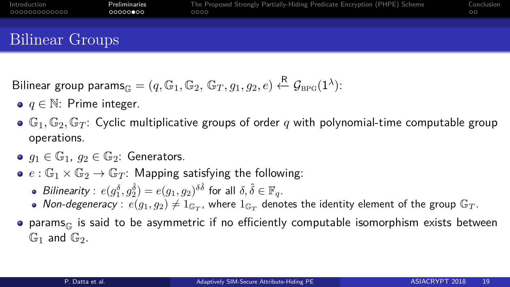| Introduction    | Preliminaries | The Proposed Strongly Partially-Hiding Predicate Encryption (PHPE) Scheme | Conclusion |
|-----------------|---------------|---------------------------------------------------------------------------|------------|
| 0000000000000   | 00000000      | 0000                                                                      | $\circ$    |
| Bilinear Groups |               |                                                                           |            |

$$
\text{Bilinear group params}_{\mathbb{G}} = (q, \mathbb{G}_1, \mathbb{G}_2, \, \mathbb{G}_T, g_1, g_2, e) \xleftarrow{\mathsf{R}} \mathcal{G}_{\text{BPG}}(1^{\lambda}) :
$$

- *q* ∈ N: Prime integer.
- $\bullet$   $\mathbb{G}_1$ ,  $\mathbb{G}_2$ ,  $\mathbb{G}_T$ : Cyclic multiplicative groups of order q with polynomial-time computable group operations.
- $g_1 \in \mathbb{G}_1$ ,  $g_2 \in \mathbb{G}_2$ : Generators.
- $e : \mathbb{G}_1 \times \mathbb{G}_2 \rightarrow \mathbb{G}_T$ : Mapping satisfying the following:
	- $B$ ilinearity :  $e(g_1^{\delta}, g_2^{\hat{\delta}}) = e(g_1, g_2)^{\delta \hat{\delta}}$  for all  $\delta, \hat{\delta} \in \mathbb{F}_q$ .
	- Non-degeneracy :  $e(g_1, g_2) \neq 1_{\mathbb{G}_T}$ , where  $1_{\mathbb{G}_T}$  denotes the identity element of the group  $\mathbb{G}_T$ .
- $\bullet$  params<sub>G</sub> is said to be asymmetric if no efficiently computable isomorphism exists between  $\mathbb{G}_1$  and  $\mathbb{G}_2$ .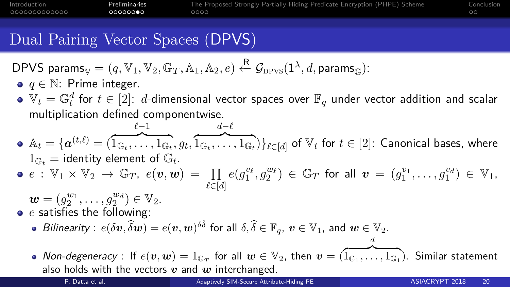| Introduction  | Preliminaries | The Proposed Strongly Partially-Hiding Predicate Encryption (PHPE) Scheme | Conclusion |
|---------------|---------------|---------------------------------------------------------------------------|------------|
| 0000000000000 | റററററൈ∙െ      | 0000                                                                      |            |

### Dual Pairing Vector Spaces (DPVS)

$$
\mathsf{DPVS~params}_{\mathbb{V}} = (q, \mathbb{V}_1, \mathbb{V}_2, \mathbb{G}_T, \mathbb{A}_1, \mathbb{A}_2, e) \xleftarrow{\mathsf{R}} \mathcal{G}_{\mathrm{DPVS}}(1^\lambda, d, \mathsf{params}_{\mathbb{G}}).
$$

- *q* ∈ N: Prime integer.
- $\mathbb{V}_t = \mathbb{G}_t^d$  for  $t \in [2]$ :  $d$ -dimensional vector spaces over  $\mathbb{F}_q$  under vector addition and scalar multiplication defined componentwise.
- $\mathbb{A}_t = \{\boldsymbol{a}^{(t,\ell)} = (\mathbb{I}% _{t\in\mathbb{C}}% )\mid t\in\mathbb{C}_{t\in\mathbb{C}}% ^{t\in\mathbb{C}}\}$ *`*−1  $\{\widehat{A}_{\mathbb{G}_t},\ldots,\widehat{A}_{\mathbb{G}_t},g_t,\widehat{1_{\mathbb{G}_t},\ldots,1_{\mathbb{G}_t}}\} \}_{t\in [d]}$  of  $\mathbb{V}_t$  for  $t\in [2]$ : Canonical bases, where  $d-$ <sup> $\ell$ </sup>  $1_{\mathbb{G}_t}$  = identity element of  $\mathbb{G}_t$ .

$$
\bullet \, e \, : \, \mathbb{V}_1 \times \mathbb{V}_2 \, \to \, \mathbb{G}_T, \, e(\boldsymbol{v}, \boldsymbol{w}) \, = \, \prod_{\ell \in [d]} e(g_1^{v_\ell}, g_2^{w_\ell}) \, \in \, \mathbb{G}_T \, \text{ for all } \, \boldsymbol{v} \, = \, (g_1^{v_1}, \ldots, g_1^{v_d}) \, \in \, \mathbb{V}_1.
$$

 $w = (g_2^{w_1}, \ldots, g_2^{w_d}) \in V_2.$ *e* satisfies the following:  $\mathcal{B}$ *ilinearity* :  $e(\delta \boldsymbol{v}, \widehat{\delta \boldsymbol{w}}) = e(\boldsymbol{v}, \boldsymbol{w})^{\delta \hat{\delta}}$  for all  $\delta, \widehat{\delta} \in \mathbb{F}_q$ ,  $\boldsymbol{v} \in \mathbb{V}_1$ , and  $\boldsymbol{w} \in \mathbb{V}_2$ . Non-degeneracy : If  $e(\bm{v},\bm{w})=1_{\mathbb{G}_T}$  for all  $\bm{w}\in\mathbb{V}_2$ , then  $\bm{v}=(\overline{1_{\mathbb{G}_1},\ldots,1_{\mathbb{G}_1}})$ . Similar statement *d*

also holds with the vectors *v* and *w* interchanged.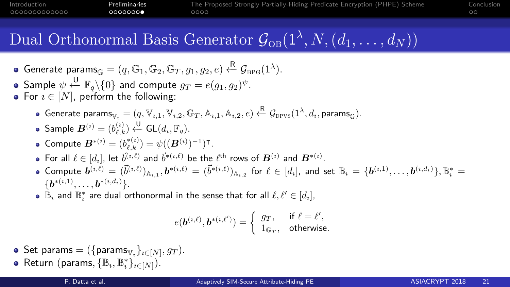

# Dual Orthonormal Basis Generator  $\mathcal{G}_{OB}(1^{\lambda}, N, (d_1, \ldots, d_N))$

• Generate 
$$
\text{params}_{\mathbb{G}} = (q, \mathbb{G}_1, \mathbb{G}_2, \mathbb{G}_T, g_1, g_2, e) \stackrel{\mathbb{R}}{\leftarrow} \mathcal{G}_{\text{BPG}}(1^{\lambda}).
$$

• Sample 
$$
\psi \stackrel{\text{U}}{\leftarrow} \mathbb{F}_q \setminus \{0\}
$$
 and compute  $g_T = e(g_1, g_2)^{\psi}$ .

- For  $i \in [N]$ , perform the following:
	- $\mathsf{Generator}_{\mathbb{V}_i} = (q, \mathbb{V}_{i,1}, \mathbb{V}_{i,2}, \mathbb{G}_T, \mathbb{A}_{i,1}, \mathbb{A}_{i,2}, e) \xleftarrow{\mathsf{R}} \mathcal{G}_{\mathrm{DPVS}}(1^\lambda, d_i, \mathsf{params}_{\mathbb{G}}).$

• Sample 
$$
\mathbf{B}^{(i)} = (b_{\ell,k}^{(i)}) \stackrel{\mathsf{U}}{\leftarrow} \mathsf{GL}(d_i, \mathbb{F}_q)
$$
.

• Compute 
$$
B^{*(i)} = (b_{\ell,k}^{*(i)}) = \psi((B^{(i)})^{-1})^{\intercal}
$$
.

- For all  $\ell \in [d_i]$ , let  $\vec{b}^{(\imath,\ell)}$  and  $\vec{b}^{*(\imath,\ell)}$  be the  $\ell^\text{th}$  rows of  $\bm{B}^{(\imath)}$  and  $\bm{B}^{*(\imath)}.$
- Compute  $\bm{b}^{(\imath,\ell)}=(\vec{b}^{(\imath,\ell)})_{{\mathbb A}_{\imath,1}}, \bm{b}^{*(\imath,\ell)}=(\vec{b}^{*(\imath,\ell)})_{{\mathbb A}_{\imath,2}}$  for  $\ell\in[d_{\imath}],$  and set  ${\mathbb B}_{\imath}=\{\bm{b}^{(\imath,1)},\ldots,\bm{b}^{(\imath,d_{\imath})}\}, {\mathbb B}_{\imath}^{*}=$  $\{\bm b^{*(\imath,1)},\ldots,\bm b^{*(\imath,d_{\imath})}\}.$
- $\mathbb{B}_\imath$  and  $\mathbb{B}^*_\imath$  are dual orthonormal in the sense that for all  $\ell,\ell' \in [d_\imath]$ ,

$$
e(\boldsymbol{b}^{(i,\ell)},\boldsymbol{b}^{*(i,\ell')})=\left\{\begin{array}{ll}g_T,&\text{if }\ell=\ell',\\1_{\mathbb{G}_T},&\text{otherwise.}\end{array}\right.
$$

- $Set$  param $s = (\{params_{\mathbb{V}_i}\}_{i \in [N]}, gr)$ .
- $\mathsf{Return}\;(\mathsf{params}, \{\mathbb{B}_i, \mathbb{B}_i^*\}_{i \in [N]}).$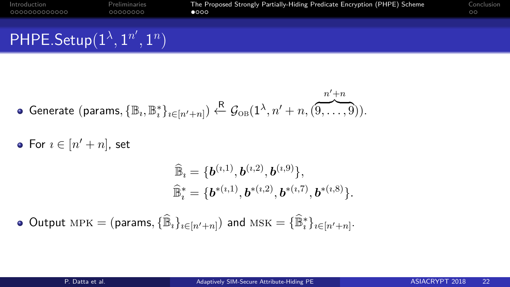<span id="page-23-0"></span>

| Introduction                            | Preliminaries | The Proposed Strongly Partially-Hiding Predicate Encryption (PHPE) Scheme | Conclusion |
|-----------------------------------------|---------------|---------------------------------------------------------------------------|------------|
| 0000000000000                           | 00000000      | $\bullet$                                                                 | $\circ$    |
| PHPE.Setup $(1^{\lambda}, 1^{n'}, 1^n)$ |               |                                                                           |            |

$$
\bullet \text{ Generate (params, } \{\mathbb{B}_i, \mathbb{B}_i^*\}_{i \in [n'+n]}) \stackrel{\mathcal{R}}{\leftarrow} \mathcal{G}_{\text{OB}}(1^\lambda, n'+n, ( \overbrace{9, \ldots, 9}^{n'+n}) ).
$$

For  $i \in [n'+n]$ , set

$$
\begin{aligned} &\widehat{\mathbb{B}}_i = \{\boldsymbol{b}^{(i,1)},\boldsymbol{b}^{(i,2)},\boldsymbol{b}^{(i,9)}\},\\ &\widehat{\mathbb{B}}_i^* = \{\boldsymbol{b}^{*(i,1)},\boldsymbol{b}^{*(i,2)},\boldsymbol{b}^{*(i,7)},\boldsymbol{b}^{*(i,8)}\}.\end{aligned}
$$

 $\textsf{Output} \ \textsf{MPK} = (\textsf{params}, \{\widehat{\mathbb{B}}_i\}_{i \in [n'+n]}) \ \textsf{and} \ \textsf{MSK} = \{\widehat{\mathbb{B}}_i^*\}_{i \in [n'+n]}.$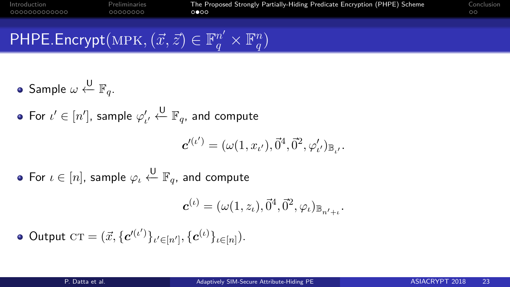#### $\mathsf{PHPE}.\mathsf{Encrypt}(\mathsf{MPK},(\vec{x},\vec{z})\in \mathbb{F}_q^{n'}\times\mathbb{F}_q^n$  $\binom{n}{q}$

- $\mathsf{Sample}\ \omega \stackrel{\mathsf{U}}{\leftarrow} \mathbb{F}_q.$
- For  $\iota' \in [n'],$  sample  $\varphi'_{\iota'} \stackrel{\bigcup}{\leftarrow} \mathbb{F}_q$ , and compute

$$
\mathbf{c}'^{(\iota')} = (\omega(1, x_{\iota'}), \vec{0}^4, \vec{0}^2, \varphi'_{\iota'})_{\mathbb{B}_{\iota'}}.
$$

For  $\iota \in [n]$ , sample  $\varphi_\iota \overset{\sf U}{\leftarrow} \mathbb F_q$ , and compute

$$
\mathbf{c}^{(\iota)} = (\omega(1, z_{\iota}), \vec{0}^4, \vec{0}^2, \varphi_{\iota})_{\mathbb{B}_{n'+\iota}}.
$$

 $\text{Output } \text{CT} = (\vec{x}, \{ \boldsymbol{c'}^{(\iota')} \}_{\iota' \in [n']}, \{ \boldsymbol{c}^{(\iota)} \}_{\iota \in [n]}).$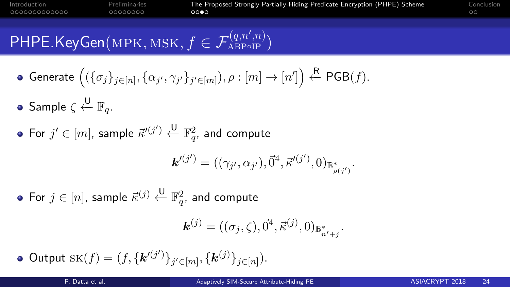#### 00000000

# $\mathsf{PHPE}.\mathsf{KeyGen}(\mathsf{MPK},\mathsf{MSK},f\in \mathcal{F}_\mathsf{ABP\circ IP}^{(q,n',n)})$

- $\mathsf{Generate}\left( (\{\sigma_j\}_{j\in[n]}, \{\alpha_{j'}, \gamma_{j'}\}_{j'\in[m]}), \rho : [m] \rightarrow [n'] \right) \overset{\ \mathsf{R}}{\leftarrow} \mathsf{PGB}(f).$
- $\mathsf{Sample} \subset \overset{\mathsf{U}}{\leftarrow} \mathbb{F}_q.$
- For  $j'\in [m]$ , sample  $\vec{\kappa}'^{(j')}\stackrel{\sf U}{\leftarrow} \mathbb{F}_{q}^2$ , and compute

$$
\mathbf{k}'^{(j')} = ((\gamma_{j'}, \alpha_{j'}), \vec{0}^4, \vec{\kappa}'^{(j')}, 0)_{\mathbb{B}^*_{\rho(j')}}.
$$

For  $j \in [n]$ , sample  $\vec{\kappa}^{(j)} \stackrel{\sf U}{\leftarrow} \mathbb{F}_{q}^2$ , and compute

$$
\bm{k}^{(j)} = ((\sigma_j, \zeta), \vec{0}^4, \vec{\kappa}^{(j)}, 0)_{\mathbb{B}^*_{n'+j}}.
$$

 $\text{Output } \textsc{sk}(f) = (f, \{k'^{(j')}\}_{j' \in [m]}, \{k^{(j)}\}_{j \in [n]}).$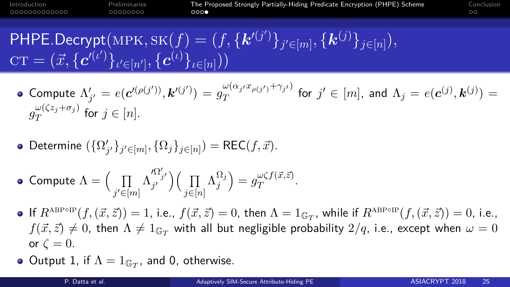00000000

[Introduction](#page-2-0) [Preliminaries](#page-15-0) [The Proposed Strongly Partially-Hiding Predicate Encryption \(PHPE\) Scheme](#page-23-0) [Conclusion](#page-27-0)

 $\mathsf{PHPE}.\mathsf{Decrypt}(\text{MPK},\text{SK}(f) = (f,\{\bm{k}'^{(j')}\}_{j' \in [m]},\{\bm{k}^{(j)}\}_{j \in [n]}),$  $\text{CT} = (\vec{x}, \{\bm{c}'^{(\iota')}\}_{\iota' \in [n']}, \{\bm{c}^{(\iota)}\}_{\iota \in [n]}))$ 

• Compute 
$$
\Lambda'_{j'} = e(\mathbf{c}'^{(\rho(j'))}, \mathbf{k}'^{(j')}) = g_T^{\omega(\alpha_j x_{\rho(j')} + \gamma_{j'})}
$$
 for  $j' \in [m]$ , and  $\Lambda_j = e(\mathbf{c}^{(j)}, \mathbf{k}^{(j)}) = g_T^{\omega(\zeta z_j + \sigma_j)}$  for  $j \in [n]$ .

• Determine 
$$
(\{\Omega'_{j'}\}_{j' \in [m]}, \{\Omega_j\}_{j \in [n]}) = \mathsf{REC}(f, \vec{x}).
$$

• Compute 
$$
\Lambda = \Big(\prod_{j' \in [m]} \Lambda_{j'}^{\Omega'_{j'}}\Big) \Big(\prod_{j \in [n]} \Lambda_j^{\Omega_j}\Big) = g_T^{\omega \zeta f(\vec{x}, \vec{z})}.
$$

- If  $R^{\text{ABPoIP}}(f,(\vec{x}, \vec{z})) = 1$ , i.e.,  $f(\vec{x}, \vec{z}) = 0$ , then  $\Lambda = 1_{\mathbb{G}_T}$ , while if  $R^{\text{ABPoIP}}(f,(\vec{x}, \vec{z})) = 0$ , i.e.,  $f(\vec{x}, \vec{z}) \neq 0$ , then  $\Lambda \neq 1$ <sub>G</sub><sub>T</sub> with all but negligible probability  $2/q$ , i.e., except when  $\omega = 0$ or  $\zeta = 0$ .
- Output 1, if  $\Lambda = 1_{\mathbb{G}_T}$ , and 0, otherwise.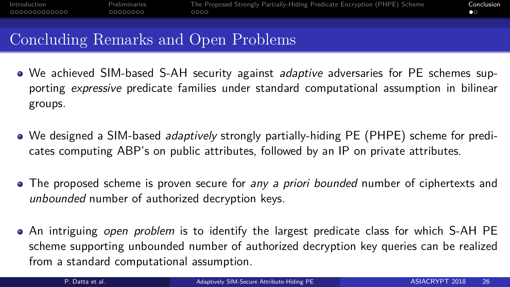## $\bullet$

#### <span id="page-27-0"></span>Concluding Remarks and Open Problems

- We achieved SIM-based S-AH security against *adaptive* adversaries for PE schemes supporting *expressive* predicate families under standard computational assumption in bilinear groups.
- We designed a SIM-based adaptively strongly partially-hiding PE (PHPE) scheme for predicates computing ABP's on public attributes, followed by an IP on private attributes.
- The proposed scheme is proven secure for any a priori bounded number of ciphertexts and unbounded number of authorized decryption keys.
- An intriguing open problem is to identify the largest predicate class for which S-AH PE scheme supporting unbounded number of authorized decryption key queries can be realized from a standard computational assumption.